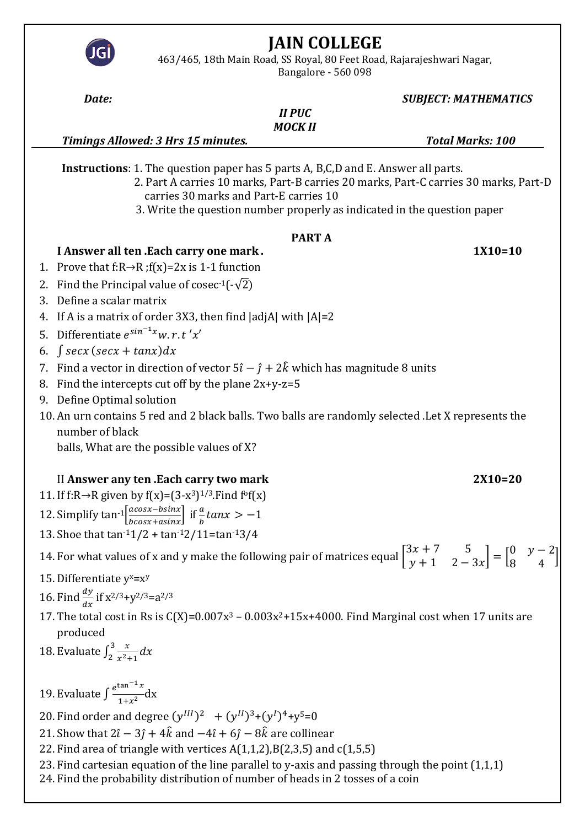| Bangalore - 560 098                                                                                                                                                                                                                                                                                    |                |                             |
|--------------------------------------------------------------------------------------------------------------------------------------------------------------------------------------------------------------------------------------------------------------------------------------------------------|----------------|-----------------------------|
| Date:                                                                                                                                                                                                                                                                                                  |                | <b>SUBJECT: MATHEMATICS</b> |
|                                                                                                                                                                                                                                                                                                        | <b>II PUC</b>  |                             |
| Timings Allowed: 3 Hrs 15 minutes.                                                                                                                                                                                                                                                                     | <b>MOCK II</b> | <b>Total Marks: 100</b>     |
|                                                                                                                                                                                                                                                                                                        |                |                             |
| <b>Instructions:</b> 1. The question paper has 5 parts A, B,C,D and E. Answer all parts.<br>2. Part A carries 10 marks, Part-B carries 20 marks, Part-C carries 30 marks, Part-D<br>carries 30 marks and Part-E carries 10<br>3. Write the question number properly as indicated in the question paper |                |                             |
|                                                                                                                                                                                                                                                                                                        | <b>PARTA</b>   |                             |
| I Answer all ten .Each carry one mark.                                                                                                                                                                                                                                                                 |                | $1X10=10$                   |
| 1. Prove that f: $R \rightarrow R$ ; f(x)=2x is 1-1 function                                                                                                                                                                                                                                           |                |                             |
| 2. Find the Principal value of cosec <sup>-1</sup> ( $-\sqrt{2}$ )                                                                                                                                                                                                                                     |                |                             |
| 3. Define a scalar matrix                                                                                                                                                                                                                                                                              |                |                             |
| 4. If A is a matrix of order 3X3, then find $ adjA $ with $ A =2$                                                                                                                                                                                                                                      |                |                             |
| 5. Differentiate $e^{\sin^{-1}x}w$ . r. t'x'                                                                                                                                                                                                                                                           |                |                             |
| $\int$ secx (secx + tanx)dx<br>6.                                                                                                                                                                                                                                                                      |                |                             |
| 7. Find a vector in direction of vector $5\hat{i} - \hat{j} + 2\hat{k}$ which has magnitude 8 units                                                                                                                                                                                                    |                |                             |
| 8. Find the intercepts cut off by the plane $2x+y-z=5$                                                                                                                                                                                                                                                 |                |                             |
| 9. Define Optimal solution                                                                                                                                                                                                                                                                             |                |                             |
| 10. An urn contains 5 red and 2 black balls. Two balls are randomly selected .Let X represents the                                                                                                                                                                                                     |                |                             |
| number of black                                                                                                                                                                                                                                                                                        |                |                             |
| balls, What are the possible values of X?                                                                                                                                                                                                                                                              |                |                             |
|                                                                                                                                                                                                                                                                                                        |                |                             |
| II Answer any ten .Each carry two mark                                                                                                                                                                                                                                                                 |                | $2X10=20$                   |
| 11. If f:R→R given by f(x)=(3-x <sup>3</sup> ) <sup>1/3</sup> . Find f <sup>o</sup> f(x)                                                                                                                                                                                                               |                |                             |
| 12. Simplify tan <sup>-1</sup> $\left[\frac{acosx-bsinx}{bcosx+asinx}\right]$ if $\frac{a}{b}tanx > -1$                                                                                                                                                                                                |                |                             |
| 13. Shoe that $tan^{-1}1/2 + tan^{-1}2/11 = tan^{-1}3/4$                                                                                                                                                                                                                                               |                |                             |
|                                                                                                                                                                                                                                                                                                        |                |                             |
| 14. For what values of x and y make the following pair of matrices equal $\begin{bmatrix} 3x + 7 & 5 \\ y + 1 & 2 - 3x \end{bmatrix} = \begin{bmatrix} 0 & y - 2 \\ 8 & 4 \end{bmatrix}$                                                                                                               |                |                             |
| 15. Differentiate $y^x = x^y$                                                                                                                                                                                                                                                                          |                |                             |
| 16. Find $\frac{dy}{dx}$ if $x^{2/3}+y^{2/3}=a^{2/3}$                                                                                                                                                                                                                                                  |                |                             |
| 17. The total cost in Rs is $C(X)=0.007x^3 - 0.003x^2 + 15x + 4000$ . Find Marginal cost when 17 units are                                                                                                                                                                                             |                |                             |
| produced                                                                                                                                                                                                                                                                                               |                |                             |
| 18. Evaluate $\int_2^3 \frac{x}{x^2+1} dx$                                                                                                                                                                                                                                                             |                |                             |
|                                                                                                                                                                                                                                                                                                        |                |                             |
| 19. Evaluate $\int \frac{e^{\tan^{-1} x}}{1+x^2} dx$                                                                                                                                                                                                                                                   |                |                             |
|                                                                                                                                                                                                                                                                                                        |                |                             |
| 20. Find order and degree $(y^{III})^2 + (y^{II})^3 + (y^{I})^4 + y^5 = 0$                                                                                                                                                                                                                             |                |                             |
| 21. Show that $2\hat{i} - 3\hat{j} + 4\hat{k}$ and $-4\hat{i} + 6\hat{j} - 8\hat{k}$ are collinear                                                                                                                                                                                                     |                |                             |
| 22. Find area of triangle with vertices $A(1,1,2),B(2,3,5)$ and $c(1,5,5)$                                                                                                                                                                                                                             |                |                             |
| 23. Find cartesian equation of the line parallel to y-axis and passing through the point $(1,1,1)$<br>24. Find the probability distribution of number of heads in 2 tosses of a coin                                                                                                                   |                |                             |

**JAIN COLLEGE** 463/465, 18th Main Road, SS Royal, 80 Feet Road, Rajarajeshwari Nagar,

JGI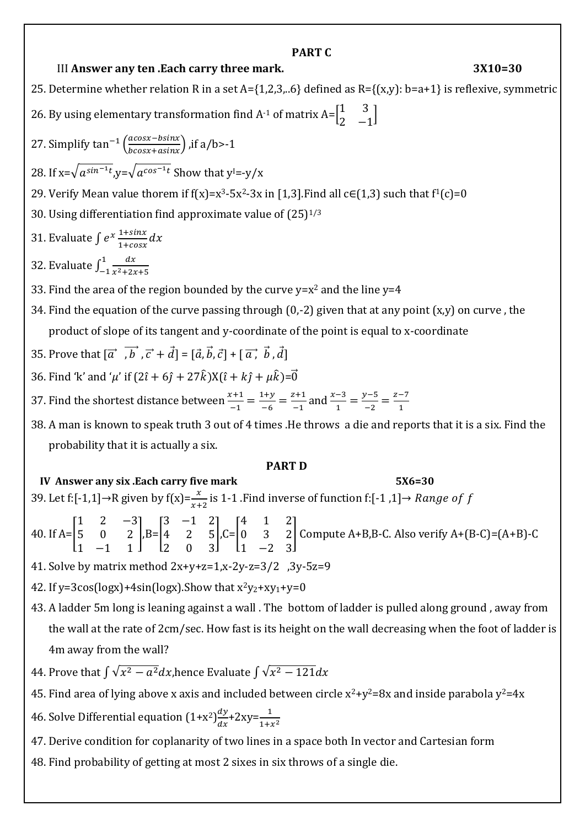## **PART C**

## III **Answer any ten .Each carry three mark. 3X10=30**

25. Determine whether relation R in a set A= $\{1,2,3,..6\}$  defined as R= $\{(x,y): b=a+1\}$  is reflexive, symmetric 26. By using elementary transformation find A<sup>-1</sup> of matrix A= $\begin{bmatrix} 1 & 3 \\ 2 & 3 \end{bmatrix}$  $\begin{bmatrix} 1 & 3 \\ 2 & -1 \end{bmatrix}$ 27. Simplify  $\tan^{-1} \left( \frac{acos x - b sin x}{bcos x + asinx} \right)$ , if  $a/b > -1$ 28. If x= $\sqrt{a^{sin^{-1}t}}$ ,y= $\sqrt{a^{cos^{-1}t}}$  Show that y<sup>1</sup>=-y/x 29. Verify Mean value thorem if  $f(x)=x^3-5x^2-3x$  in [1,3]. Find all  $c\in(1,3)$  such that  $f^1(c)=0$ 30. Using differentiation find approximate value of  $(25)^{1/3}$ 31. Evaluate ∫  $e^{x} \frac{1+\sin x}{1+\cos x}$  $\frac{1+sin x}{1+cos x}dx$ 32. Evaluate  $\int_{-1}^{1} \frac{dx}{x^2+2x^2}$  $x^2+2x+5$ 1 −1 33. Find the area of the region bounded by the curve  $y=x^2$  and the line  $y=4$ 34. Find the equation of the curve passing through  $(0,-2)$  given that at any point  $(x,y)$  on curve, the product of slope of its tangent and y-coordinate of the point is equal to x-coordinate 35. Prove that  $[\vec{a}, \vec{b}, \vec{c} + \vec{d}] = [\vec{a}, \vec{b}, \vec{c}] + [\vec{a}, \vec{b}, \vec{d}]$ 36. Find 'k' and 'µ' if  $(2\hat{i} + 6\hat{j} + 27\hat{k})X(\hat{i} + k\hat{j} + \mu\hat{k}) = \vec{0}$ 37. Find the shortest distance between  $\frac{x+1}{-1} = \frac{1+y}{-6}$  $\frac{1+y}{-6} = \frac{z+1}{-1}$  $\frac{z+1}{-1}$  and  $\frac{x-3}{1} = \frac{y-5}{-2}$  $\frac{y-5}{-2} = \frac{z-7}{1}$ 1 38. A man is known to speak truth 3 out of 4 times .He throws a die and reports that it is a six. Find the probability that it is actually a six. **PART D IV Answer any six .Each carry five mark 5X6=30** 39. Let f:[-1,1]→R given by f(x)= $\frac{x}{x+2}$  is 1-1 .Find inverse of function f:[-1 ,1]→ Range of f 40. If  $A=$ 1 2 −3 5 0 2 1 −1 1  $|,B=$ 3 −1 2 4 2 5 2 0 3  $|C=|$ 4 1 2 0 3 2 1 −2 3 ] Compute A+B,B-C. Also verify A+(B-C)=(A+B)-C 41. Solve by matrix method 2x+y+z=1,x-2y-z=3/2 ,3y-5z=9

42. If  $v=3cos(logx)+4sin(logx)$ . Show that  $x^2y_2+xy_1+y=0$ 

43. A ladder 5m long is leaning against a wall . The bottom of ladder is pulled along ground , away from the wall at the rate of 2cm/sec. How fast is its height on the wall decreasing when the foot of ladder is 4m away from the wall?

- 44. Prove that  $\int{\sqrt{x^2-a^2}dx}$ ,hence Evaluate  $\int{\sqrt{x^2-121}dx}$
- 45. Find area of lying above x axis and included between circle  $x^2+y^2=8x$  and inside parabola  $y^2=4x$
- 46. Solve Differential equation  $(1+x^2)\frac{dy}{dx}$  $\frac{dy}{dx}$  + 2xy =  $\frac{1}{1+x^2}$
- 47. Derive condition for coplanarity of two lines in a space both In vector and Cartesian form
- 48. Find probability of getting at most 2 sixes in six throws of a single die.